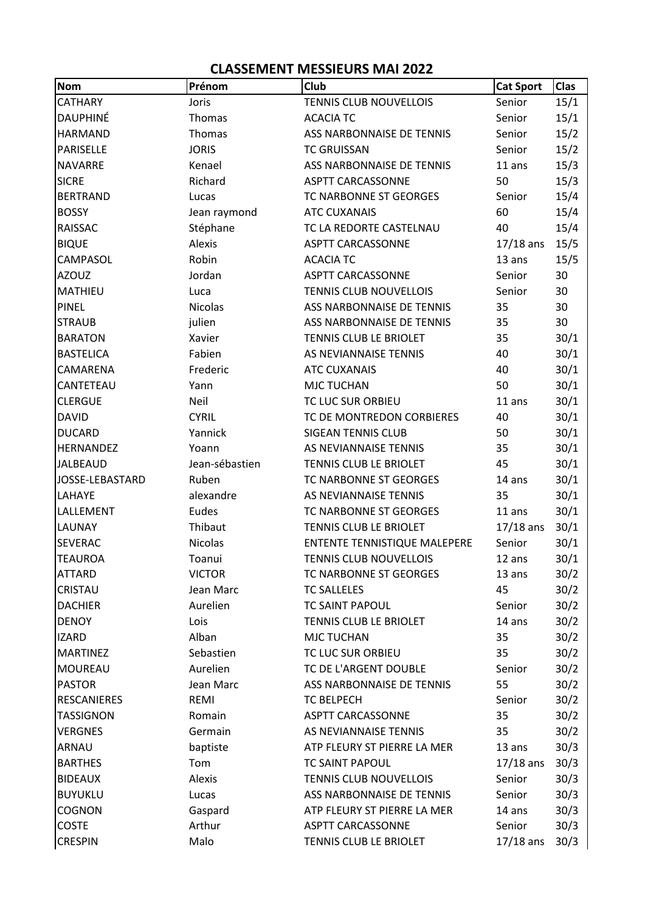## **CLASSEMENT MESSIEURS MAI 2022**

| <b>Nom</b>         | Prénom         | Club                                | <b>Cat Sport</b> | Clas |
|--------------------|----------------|-------------------------------------|------------------|------|
| <b>CATHARY</b>     | Joris          | <b>TENNIS CLUB NOUVELLOIS</b>       | Senior           | 15/1 |
| <b>DAUPHINÉ</b>    | Thomas         | <b>ACACIA TC</b>                    | Senior           | 15/1 |
| <b>HARMAND</b>     | Thomas         | ASS NARBONNAISE DE TENNIS           | Senior           | 15/2 |
| PARISELLE          | <b>JORIS</b>   | <b>TC GRUISSAN</b>                  | Senior           | 15/2 |
| <b>NAVARRE</b>     | Kenael         | ASS NARBONNAISE DE TENNIS           | 11 ans           | 15/3 |
| <b>SICRE</b>       | Richard        | <b>ASPTT CARCASSONNE</b>            | 50               | 15/3 |
| <b>BERTRAND</b>    | Lucas          | TC NARBONNE ST GEORGES              | Senior           | 15/4 |
| <b>BOSSY</b>       | Jean raymond   | <b>ATC CUXANAIS</b>                 | 60               | 15/4 |
| <b>RAISSAC</b>     | Stéphane       | TC LA REDORTE CASTELNAU             | 40               | 15/4 |
| <b>BIQUE</b>       | Alexis         | <b>ASPTT CARCASSONNE</b>            | $17/18$ ans      | 15/5 |
| CAMPASOL           | Robin          | <b>ACACIA TC</b>                    | 13 ans           | 15/5 |
| <b>AZOUZ</b>       | Jordan         | <b>ASPTT CARCASSONNE</b>            | Senior           | 30   |
| MATHIEU            | Luca           | <b>TENNIS CLUB NOUVELLOIS</b>       | Senior           | 30   |
| <b>PINEL</b>       | <b>Nicolas</b> | ASS NARBONNAISE DE TENNIS           | 35               | 30   |
| <b>STRAUB</b>      | julien         | ASS NARBONNAISE DE TENNIS           | 35               | 30   |
| <b>BARATON</b>     | Xavier         | TENNIS CLUB LE BRIOLET              | 35               | 30/1 |
| <b>BASTELICA</b>   | Fabien         | AS NEVIANNAISE TENNIS               | 40               | 30/1 |
| CAMARENA           | Frederic       | <b>ATC CUXANAIS</b>                 | 40               | 30/1 |
| CANTETEAU          | Yann           | <b>MJC TUCHAN</b>                   | 50               | 30/1 |
| <b>CLERGUE</b>     | Neil           | TC LUC SUR ORBIEU                   | 11 ans           | 30/1 |
| <b>DAVID</b>       | <b>CYRIL</b>   | TC DE MONTREDON CORBIERES           | 40               | 30/1 |
| <b>DUCARD</b>      | Yannick        | <b>SIGEAN TENNIS CLUB</b>           | 50               | 30/1 |
| HERNANDEZ          | Yoann          | AS NEVIANNAISE TENNIS               | 35               | 30/1 |
| <b>JALBEAUD</b>    | Jean-sébastien | TENNIS CLUB LE BRIOLET              | 45               | 30/1 |
| JOSSE-LEBASTARD    | Ruben          | TC NARBONNE ST GEORGES              | 14 ans           | 30/1 |
| LAHAYE             | alexandre      | AS NEVIANNAISE TENNIS               | 35               | 30/1 |
| LALLEMENT          | Eudes          | TC NARBONNE ST GEORGES              | 11 ans           | 30/1 |
| <b>LAUNAY</b>      | Thibaut        | TENNIS CLUB LE BRIOLET              | $17/18$ ans      | 30/1 |
| SEVERAC            | Nicolas        | <b>ENTENTE TENNISTIQUE MALEPERE</b> | Senior           | 30/1 |
| <b>TEAUROA</b>     | Toanui         | <b>TENNIS CLUB NOUVELLOIS</b>       | 12 ans           | 30/1 |
| <b>ATTARD</b>      | <b>VICTOR</b>  | TC NARBONNE ST GEORGES              | 13 ans           | 30/2 |
| CRISTAU            | Jean Marc      | <b>TC SALLELES</b>                  | 45               | 30/2 |
| <b>DACHIER</b>     | Aurelien       | <b>TC SAINT PAPOUL</b>              | Senior           | 30/2 |
| <b>DENOY</b>       | Lois           | TENNIS CLUB LE BRIOLET              | 14 ans           | 30/2 |
| <b>IZARD</b>       | Alban          | <b>MJC TUCHAN</b>                   | 35               | 30/2 |
| <b>MARTINEZ</b>    | Sebastien      | TC LUC SUR ORBIEU                   | 35               | 30/2 |
| <b>MOUREAU</b>     | Aurelien       | TC DE L'ARGENT DOUBLE               | Senior           | 30/2 |
| <b>PASTOR</b>      | Jean Marc      | ASS NARBONNAISE DE TENNIS           | 55               | 30/2 |
| <b>RESCANIERES</b> | REMI           | TC BELPECH                          | Senior           | 30/2 |
| <b>TASSIGNON</b>   | Romain         | <b>ASPTT CARCASSONNE</b>            | 35               | 30/2 |
| <b>VERGNES</b>     | Germain        | AS NEVIANNAISE TENNIS               | 35               | 30/2 |
| ARNAU              | baptiste       | ATP FLEURY ST PIERRE LA MER         | 13 ans           | 30/3 |
| <b>BARTHES</b>     | Tom            | TC SAINT PAPOUL                     | $17/18$ ans      | 30/3 |
| <b>BIDEAUX</b>     | Alexis         | <b>TENNIS CLUB NOUVELLOIS</b>       | Senior           | 30/3 |
| <b>BUYUKLU</b>     | Lucas          | ASS NARBONNAISE DE TENNIS           | Senior           | 30/3 |
| COGNON             | Gaspard        | ATP FLEURY ST PIERRE LA MER         | 14 ans           | 30/3 |
| <b>COSTE</b>       | Arthur         | <b>ASPTT CARCASSONNE</b>            | Senior           | 30/3 |
| <b>CRESPIN</b>     | Malo           | TENNIS CLUB LE BRIOLET              | $17/18$ ans      | 30/3 |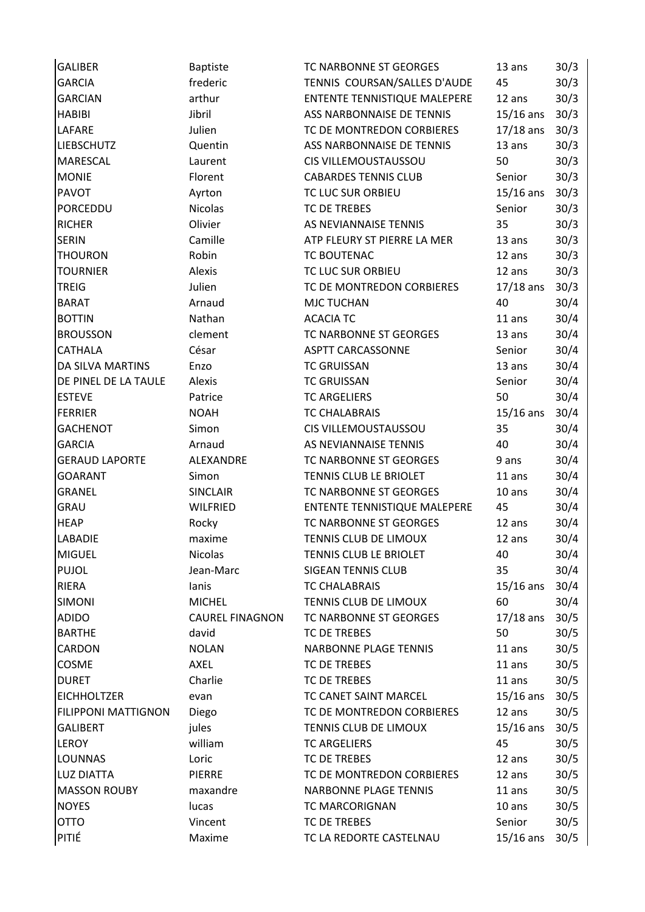| <b>GALIBER</b>             | <b>Baptiste</b>        | TC NARBONNE ST GEORGES              | 13 ans      | 30/3 |
|----------------------------|------------------------|-------------------------------------|-------------|------|
| <b>GARCIA</b>              | frederic               | TENNIS COURSAN/SALLES D'AUDE        | 45          | 30/3 |
| <b>GARCIAN</b>             | arthur                 | <b>ENTENTE TENNISTIQUE MALEPERE</b> | 12 ans      | 30/3 |
| <b>HABIBI</b>              | Jibril                 | ASS NARBONNAISE DE TENNIS           | $15/16$ ans | 30/3 |
| <b>LAFARE</b>              | Julien                 | TC DE MONTREDON CORBIERES           | $17/18$ ans | 30/3 |
| <b>LIEBSCHUTZ</b>          | Quentin                | ASS NARBONNAISE DE TENNIS           | 13 ans      | 30/3 |
| <b>MARESCAL</b>            | Laurent                | CIS VILLEMOUSTAUSSOU                | 50          | 30/3 |
| <b>MONIE</b>               | Florent                | <b>CABARDES TENNIS CLUB</b>         | Senior      | 30/3 |
| <b>PAVOT</b>               | Ayrton                 | TC LUC SUR ORBIEU                   | $15/16$ ans | 30/3 |
| PORCEDDU                   | <b>Nicolas</b>         | TC DE TREBES                        | Senior      | 30/3 |
| <b>RICHER</b>              | Olivier                | AS NEVIANNAISE TENNIS               | 35          | 30/3 |
| <b>SERIN</b>               | Camille                | ATP FLEURY ST PIERRE LA MER         | 13 ans      | 30/3 |
| <b>THOURON</b>             | Robin                  | <b>TC BOUTENAC</b>                  | 12 ans      | 30/3 |
| <b>TOURNIER</b>            | Alexis                 | TC LUC SUR ORBIEU                   | 12 ans      | 30/3 |
| <b>TREIG</b>               | Julien                 | TC DE MONTREDON CORBIERES           | $17/18$ ans | 30/3 |
| <b>BARAT</b>               | Arnaud                 | <b>MJC TUCHAN</b>                   | 40          | 30/4 |
| <b>BOTTIN</b>              | Nathan                 | <b>ACACIA TC</b>                    | 11 ans      | 30/4 |
| <b>BROUSSON</b>            | clement                | TC NARBONNE ST GEORGES              | 13 ans      | 30/4 |
| <b>CATHALA</b>             | César                  | <b>ASPTT CARCASSONNE</b>            | Senior      | 30/4 |
| <b>DA SILVA MARTINS</b>    | Enzo                   | <b>TC GRUISSAN</b>                  | 13 ans      | 30/4 |
| DE PINEL DE LA TAULE       | Alexis                 | <b>TC GRUISSAN</b>                  | Senior      | 30/4 |
| <b>ESTEVE</b>              | Patrice                | <b>TC ARGELIERS</b>                 | 50          | 30/4 |
| <b>FERRIER</b>             | <b>NOAH</b>            | <b>TC CHALABRAIS</b>                | $15/16$ ans | 30/4 |
| <b>GACHENOT</b>            | Simon                  | <b>CIS VILLEMOUSTAUSSOU</b>         | 35          | 30/4 |
| <b>GARCIA</b>              | Arnaud                 | AS NEVIANNAISE TENNIS               | 40          | 30/4 |
| <b>GERAUD LAPORTE</b>      | ALEXANDRE              | TC NARBONNE ST GEORGES              | 9 ans       | 30/4 |
| <b>GOARANT</b>             | Simon                  | TENNIS CLUB LE BRIOLET              | 11 ans      | 30/4 |
| <b>GRANEL</b>              | <b>SINCLAIR</b>        | TC NARBONNE ST GEORGES              | 10 ans      | 30/4 |
| <b>GRAU</b>                | <b>WILFRIED</b>        | <b>ENTENTE TENNISTIQUE MALEPERE</b> | 45          | 30/4 |
| <b>HEAP</b>                | Rocky                  | TC NARBONNE ST GEORGES              | 12 ans      | 30/4 |
| <b>LABADIE</b>             | maxime                 | TENNIS CLUB DE LIMOUX               | 12 ans      | 30/4 |
| <b>MIGUEL</b>              | Nicolas                | TENNIS CLUB LE BRIOLET              | 40          | 30/4 |
| <b>PUJOL</b>               | Jean-Marc              | <b>SIGEAN TENNIS CLUB</b>           | 35          | 30/4 |
| <b>RIERA</b>               | lanis                  | <b>TC CHALABRAIS</b>                | $15/16$ ans | 30/4 |
| <b>SIMONI</b>              | <b>MICHEL</b>          | TENNIS CLUB DE LIMOUX               | 60          | 30/4 |
| <b>ADIDO</b>               | <b>CAUREL FINAGNON</b> | TC NARBONNE ST GEORGES              | $17/18$ ans | 30/5 |
| <b>BARTHE</b>              | david                  | TC DE TREBES                        | 50          | 30/5 |
| CARDON                     | <b>NOLAN</b>           | <b>NARBONNE PLAGE TENNIS</b>        | 11 ans      | 30/5 |
| COSME                      | <b>AXEL</b>            | TC DE TREBES                        | 11 ans      | 30/5 |
| <b>DURET</b>               | Charlie                | <b>TC DE TREBES</b>                 | 11 ans      | 30/5 |
| <b>EICHHOLTZER</b>         | evan                   | TC CANET SAINT MARCEL               | $15/16$ ans | 30/5 |
| <b>FILIPPONI MATTIGNON</b> | Diego                  | TC DE MONTREDON CORBIERES           | 12 ans      | 30/5 |
| <b>GALIBERT</b>            | jules                  | TENNIS CLUB DE LIMOUX               | $15/16$ ans | 30/5 |
| <b>LEROY</b>               | william                | <b>TC ARGELIERS</b>                 | 45          | 30/5 |
| <b>LOUNNAS</b>             | Loric                  | TC DE TREBES                        | 12 ans      | 30/5 |
| <b>LUZ DIATTA</b>          | <b>PIERRE</b>          | TC DE MONTREDON CORBIERES           | 12 ans      | 30/5 |
| <b>MASSON ROUBY</b>        | maxandre               | <b>NARBONNE PLAGE TENNIS</b>        | 11 ans      | 30/5 |
| <b>NOYES</b>               | lucas                  | TC MARCORIGNAN                      | $10$ ans    | 30/5 |
| <b>OTTO</b>                | Vincent                | TC DE TREBES                        | Senior      | 30/5 |
| PITIÉ                      | Maxime                 | TC LA REDORTE CASTELNAU             | $15/16$ ans | 30/5 |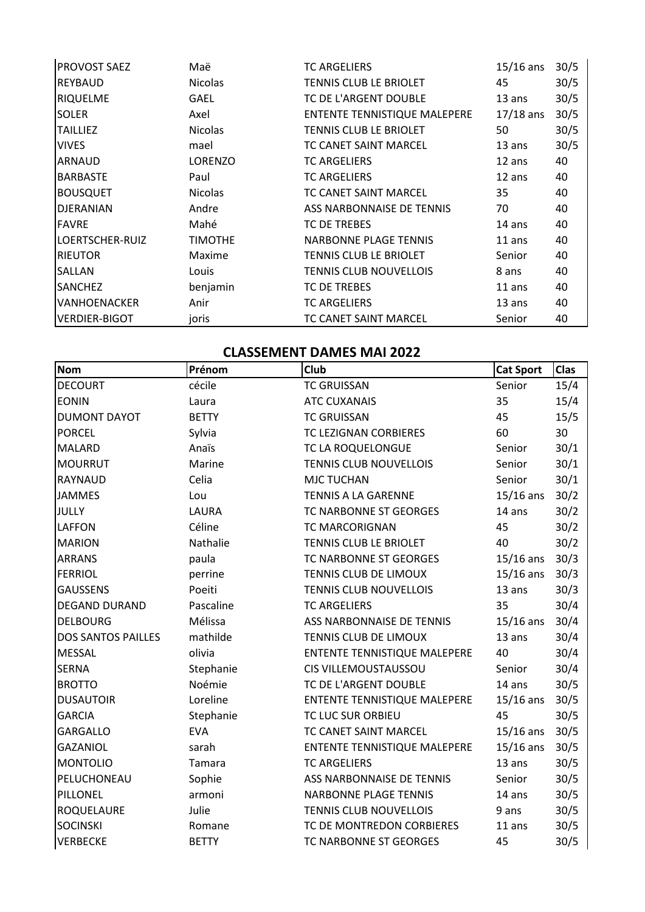| <b>PROVOST SAEZ</b>  | Maë            | <b>TC ARGELIERS</b>                 | $15/16$ ans | 30/5 |
|----------------------|----------------|-------------------------------------|-------------|------|
| <b>REYBAUD</b>       | <b>Nicolas</b> | TENNIS CLUB LE BRIOLET              | 45          | 30/5 |
| <b>RIQUELME</b>      | GAEL           | TC DE L'ARGENT DOUBLE               | $13$ ans    | 30/5 |
| <b>SOLER</b>         | Axel           | <b>ENTENTE TENNISTIQUE MALEPERE</b> | $17/18$ ans | 30/5 |
| <b>TAILLIEZ</b>      | <b>Nicolas</b> | TENNIS CLUB LE BRIOLET              | 50          | 30/5 |
| <b>VIVES</b>         | mael           | TC CANET SAINT MARCEL               | $13$ ans    | 30/5 |
| <b>ARNAUD</b>        | <b>LORENZO</b> | <b>TC ARGELIERS</b>                 | 12 ans      | 40   |
| <b>BARBASTE</b>      | Paul           | <b>TC ARGELIERS</b>                 | 12 ans      | 40   |
| <b>BOUSQUET</b>      | <b>Nicolas</b> | TC CANET SAINT MARCEL               | 35          | 40   |
| <b>DJERANIAN</b>     | Andre          | ASS NARBONNAISE DE TENNIS           | 70          | 40   |
| <b>FAVRE</b>         | Mahé           | <b>TC DE TREBES</b>                 | 14 ans      | 40   |
| LOERTSCHER-RUIZ      | <b>TIMOTHE</b> | <b>NARBONNE PLAGE TENNIS</b>        | $11$ ans    | 40   |
| IRIEUTOR             | Maxime         | TENNIS CLUB LE BRIOLET              | Senior      | 40   |
| <b>SALLAN</b>        | Louis          | <b>TENNIS CLUB NOUVELLOIS</b>       | 8 ans       | 40   |
| <b>SANCHEZ</b>       | benjamin       | <b>TC DE TREBES</b>                 | $11$ ans    | 40   |
| VANHOENACKER         | Anir           | <b>TC ARGELIERS</b>                 | 13 ans      | 40   |
| <b>VERDIER-BIGOT</b> | joris          | TC CANET SAINT MARCEL               | Senior      | 40   |

## **CLASSEMENT DAMES MAI 2022**

| <b>Nom</b>                | Prénom       | Club                          | <b>Cat Sport</b> | Clas |
|---------------------------|--------------|-------------------------------|------------------|------|
| <b>DECOURT</b>            | cécile       | <b>TC GRUISSAN</b>            | Senior           | 15/4 |
| <b>EONIN</b>              | Laura        | <b>ATC CUXANAIS</b>           | 35               | 15/4 |
| <b>DUMONT DAYOT</b>       | <b>BETTY</b> | <b>TC GRUISSAN</b>            | 45               | 15/5 |
| <b>PORCEL</b>             | Sylvia       | TC LEZIGNAN CORBIERES         | 60               | 30   |
| <b>MALARD</b>             | Anaïs        | TC LA ROQUELONGUE             | Senior           | 30/1 |
| <b>MOURRUT</b>            | Marine       | <b>TENNIS CLUB NOUVELLOIS</b> | Senior           | 30/1 |
| <b>RAYNAUD</b>            | Celia        | <b>MJC TUCHAN</b>             | Senior           | 30/1 |
| <b>JAMMES</b>             | Lou          | <b>TENNIS A LA GARENNE</b>    | $15/16$ ans      | 30/2 |
| <b>JULLY</b>              | LAURA        | TC NARBONNE ST GEORGES        | 14 ans           | 30/2 |
| <b>LAFFON</b>             | Céline       | <b>TC MARCORIGNAN</b>         | 45               | 30/2 |
| <b>MARION</b>             | Nathalie     | TENNIS CLUB LE BRIOLET        | 40               | 30/2 |
| <b>ARRANS</b>             | paula        | TC NARBONNE ST GEORGES        | $15/16$ ans      | 30/3 |
| <b>FERRIOL</b>            | perrine      | TENNIS CLUB DE LIMOUX         | $15/16$ ans      | 30/3 |
| <b>GAUSSENS</b>           | Poeiti       | <b>TENNIS CLUB NOUVELLOIS</b> | 13 ans           | 30/3 |
| <b>DEGAND DURAND</b>      | Pascaline    | <b>TC ARGELIERS</b>           | 35               | 30/4 |
| <b>DELBOURG</b>           | Mélissa      | ASS NARBONNAISE DE TENNIS     | $15/16$ ans      | 30/4 |
| <b>DOS SANTOS PAILLES</b> | mathilde     | TENNIS CLUB DE LIMOUX         | 13 ans           | 30/4 |
| <b>MESSAL</b>             | olivia       | ENTENTE TENNISTIQUE MALEPERE  | 40               | 30/4 |
| <b>SERNA</b>              | Stephanie    | CIS VILLEMOUSTAUSSOU          | Senior           | 30/4 |
| <b>BROTTO</b>             | Noémie       | TC DE L'ARGENT DOUBLE         | 14 ans           | 30/5 |
| <b>DUSAUTOIR</b>          | Loreline     | ENTENTE TENNISTIQUE MALEPERE  | $15/16$ ans      | 30/5 |
| <b>GARCIA</b>             | Stephanie    | TC LUC SUR ORBIEU             | 45               | 30/5 |
| <b>GARGALLO</b>           | <b>EVA</b>   | TC CANET SAINT MARCEL         | $15/16$ ans      | 30/5 |
| <b>GAZANIOL</b>           | sarah        | ENTENTE TENNISTIQUE MALEPERE  | $15/16$ ans      | 30/5 |
| <b>MONTOLIO</b>           | Tamara       | <b>TC ARGELIERS</b>           | 13 ans           | 30/5 |
| PELUCHONEAU               | Sophie       | ASS NARBONNAISE DE TENNIS     | Senior           | 30/5 |
| PILLONEL                  | armoni       | <b>NARBONNE PLAGE TENNIS</b>  | 14 ans           | 30/5 |
| ROQUELAURE                | Julie        | <b>TENNIS CLUB NOUVELLOIS</b> | 9 ans            | 30/5 |
| <b>SOCINSKI</b>           | Romane       | TC DE MONTREDON CORBIERES     | 11 ans           | 30/5 |
| <b>VERBECKE</b>           | <b>BETTY</b> | TC NARBONNE ST GEORGES        | 45               | 30/5 |